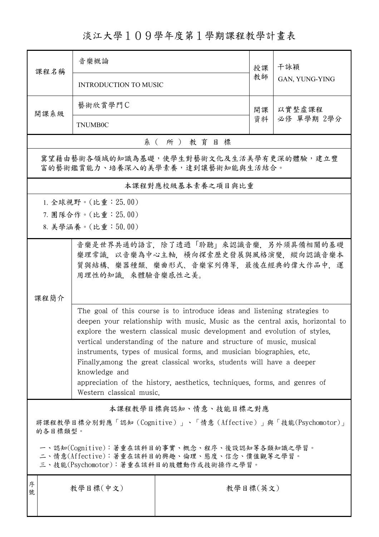## 淡江大學109學年度第1學期課程教學計畫表

| 课程名稱                                                                                                                                                                                                                                                                                                                                                                                                                                                                                                                                                                                     | 音樂概論                         |                       | 授課<br>教師 | 干詠穎<br>GAN, YUNG-YING |  |  |  |
|------------------------------------------------------------------------------------------------------------------------------------------------------------------------------------------------------------------------------------------------------------------------------------------------------------------------------------------------------------------------------------------------------------------------------------------------------------------------------------------------------------------------------------------------------------------------------------------|------------------------------|-----------------------|----------|-----------------------|--|--|--|
|                                                                                                                                                                                                                                                                                                                                                                                                                                                                                                                                                                                          | <b>INTRODUCTION TO MUSIC</b> |                       |          |                       |  |  |  |
| 開課系級                                                                                                                                                                                                                                                                                                                                                                                                                                                                                                                                                                                     | 藝術欣賞學門C                      |                       |          | 以實整虛課程                |  |  |  |
|                                                                                                                                                                                                                                                                                                                                                                                                                                                                                                                                                                                          | <b>TNUMB0C</b>               |                       | 資料       | 必修 單學期 2學分            |  |  |  |
|                                                                                                                                                                                                                                                                                                                                                                                                                                                                                                                                                                                          |                              | 系(所)教育目標              |          |                       |  |  |  |
| 冀望藉由藝術各領域的知識為基礎,使學生對藝術文化及生活美學有更深的體驗,建立豐<br>富的藝術鑑賞能力、培養深入的美學素養,達到讓藝術知能與生活結合。                                                                                                                                                                                                                                                                                                                                                                                                                                                                                                              |                              |                       |          |                       |  |  |  |
|                                                                                                                                                                                                                                                                                                                                                                                                                                                                                                                                                                                          |                              | 本課程對應校級基本素養之項目與比重     |          |                       |  |  |  |
|                                                                                                                                                                                                                                                                                                                                                                                                                                                                                                                                                                                          | 1. 全球視野。(比重: 25.00)          |                       |          |                       |  |  |  |
|                                                                                                                                                                                                                                                                                                                                                                                                                                                                                                                                                                                          | 7. 團隊合作。(比重:25.00)           |                       |          |                       |  |  |  |
|                                                                                                                                                                                                                                                                                                                                                                                                                                                                                                                                                                                          | 8. 美學涵養。(比重:50.00)           |                       |          |                       |  |  |  |
| 音樂是世界共通的語言,除了透過「聆聽」來認識音樂,另外須具備相關的基礎<br>樂理常識,以音樂為中心主軸,橫向探索歷史發展與風格演變,縱向認識音樂本<br>質與結構、樂器種類、樂曲形式、音樂家列傳等,最後在經典的偉大作品中,運<br>用理性的知識、來體驗音樂感性之美。                                                                                                                                                                                                                                                                                                                                                                                                                                                   |                              |                       |          |                       |  |  |  |
| 課程簡介                                                                                                                                                                                                                                                                                                                                                                                                                                                                                                                                                                                     |                              |                       |          |                       |  |  |  |
| The goal of this course is to introduce ideas and listening strategies to<br>deepen your relationship with music. Music as the central axis, horizontal to<br>explore the western classical music development and evolution of styles.<br>vertical understanding of the nature and structure of music, musical<br>instruments, types of musical forms, and musician biographies, etc.<br>Finally, among the great classical works, students will have a deeper<br>knowledge and<br>appreciation of the history, aesthetics, techniques, forms, and genres of<br>Western classical music. |                              |                       |          |                       |  |  |  |
|                                                                                                                                                                                                                                                                                                                                                                                                                                                                                                                                                                                          |                              | 本課程教學目標與認知、情意、技能目標之對應 |          |                       |  |  |  |
| 將課程教學目標分別對應「認知(Cognitive)」、「情意(Affective)」與「技能(Psychomotor)」<br>的各目標類型。                                                                                                                                                                                                                                                                                                                                                                                                                                                                                                                  |                              |                       |          |                       |  |  |  |
| 一、認知(Cognitive):著重在該科目的事實、概念、程序、後設認知等各類知識之學習。<br>二、情意(Affective):著重在該科目的興趣、倫理、態度、信念、價值觀等之學習。<br>三、技能(Psychomotor):著重在該科目的肢體動作或技術操作之學習。                                                                                                                                                                                                                                                                                                                                                                                                                                                   |                              |                       |          |                       |  |  |  |
| 序<br>號                                                                                                                                                                                                                                                                                                                                                                                                                                                                                                                                                                                   | 教學目標(中文)                     | 教學目標(英文)              |          |                       |  |  |  |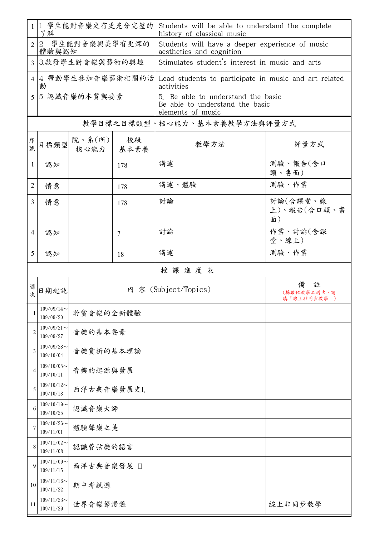|                | 1 學生能對音樂史有更充分完整的<br>了解                |                               |     | Students will be able to understand the complete<br>history of classical music             |                                 |  |  |  |  |
|----------------|---------------------------------------|-------------------------------|-----|--------------------------------------------------------------------------------------------|---------------------------------|--|--|--|--|
| $\overline{2}$ | $2^{\circ}$<br>學生能對音樂與美學有更深的<br>體驗與認知 |                               |     | Students will have a deeper experience of music<br>aesthetics and cognition                |                                 |  |  |  |  |
| $\overline{3}$ | 3.啟發學生對音樂與藝術的興趣                       |                               |     | Stimulates student's interest in music and arts                                            |                                 |  |  |  |  |
| 4              | 動                                     |                               |     | 4 帶動學生參加音樂藝術相關的活 Lead students to participate in music and art related<br>activities       |                                 |  |  |  |  |
| 5              | 5認識音樂的本質與要素                           |                               |     | 5. Be able to understand the basic<br>Be able to understand the basic<br>elements of music |                                 |  |  |  |  |
|                | 教學目標之目標類型、核心能力、基本素養教學方法與評量方式          |                               |     |                                                                                            |                                 |  |  |  |  |
| 序號             | 目標類型                                  | 院、系 $(\kappa)$<br>核心能力   基本素養 | 校級  | 教學方法                                                                                       | 評量方式                            |  |  |  |  |
| 1              | 認知                                    |                               | 178 | 講述                                                                                         | 測驗、報告(含口<br>頭、書面)               |  |  |  |  |
| 2              | 情意                                    |                               | 178 | 講述、體驗                                                                                      | 測驗、作業                           |  |  |  |  |
| $\overline{3}$ | 情意                                    |                               | 178 | 討論                                                                                         | 討論(含課堂、線<br>上)、報告(含口頭、書<br>面)   |  |  |  |  |
| $\overline{4}$ | 認知                                    |                               | 7   | 討論                                                                                         | 作業、討論(含課<br>堂、線上)               |  |  |  |  |
| 5              | 認知                                    |                               | 18  | 講述                                                                                         | 測驗、作業                           |  |  |  |  |
|                |                                       |                               |     | 授課進度表                                                                                      |                                 |  |  |  |  |
| 週次             | 日期起訖                                  |                               |     | 內 容 (Subject/Topics)                                                                       | 註<br>(採數位教學之週次,請<br>填「線上非同步教學」) |  |  |  |  |
|                | $109/09/14$ ~<br>109/09/20            | 聆賞音樂的全新體驗                     |     |                                                                                            |                                 |  |  |  |  |
| 2              | $109/09/21$ ~<br>109/09/27            | 音樂的基本要素                       |     |                                                                                            |                                 |  |  |  |  |
| 3              | $109/09/28$ ~<br>109/10/04            | 音樂賞析的基本理論                     |     |                                                                                            |                                 |  |  |  |  |
| 4              | $109/10/05$ ~<br>109/10/11            | 音樂的起源與發展                      |     |                                                                                            |                                 |  |  |  |  |
| 5              | $109/10/12$ ~<br>109/10/18            | 西洋古典音樂發展史I.                   |     |                                                                                            |                                 |  |  |  |  |
| 6              | $109/10/19$ ~<br>109/10/25            | 認識音樂大師                        |     |                                                                                            |                                 |  |  |  |  |
| 7              | $109/10/26$ ~<br>109/11/01            | 體驗聲樂之美                        |     |                                                                                            |                                 |  |  |  |  |
| 8              | $109/11/02$ ~<br>109/11/08            | 認識管弦樂的語言                      |     |                                                                                            |                                 |  |  |  |  |
| 9              | $109/11/09$ ~<br>109/11/15            | 西洋古典音樂發展 II                   |     |                                                                                            |                                 |  |  |  |  |
| 10             | $109/11/16$ ~<br>109/11/22            | 期中考試週                         |     |                                                                                            |                                 |  |  |  |  |
| 11             | $109/11/23$ ~<br>109/11/29            | 世界音樂節漫遊                       |     |                                                                                            | 線上非同步教學                         |  |  |  |  |